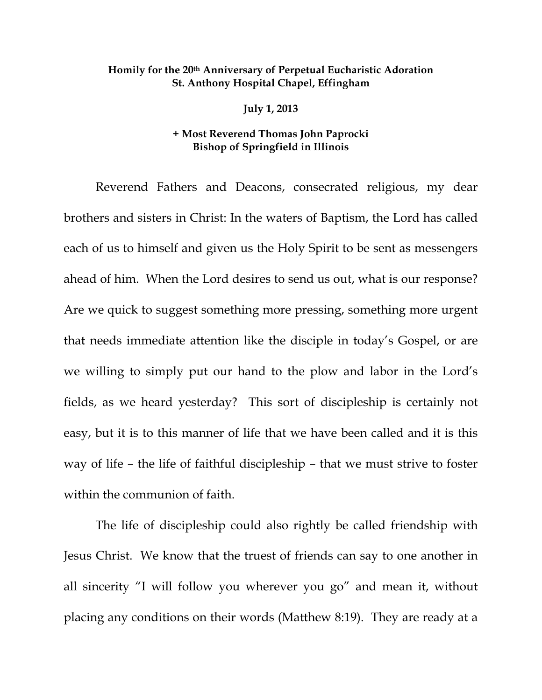## **Homily for the 20th Anniversary of Perpetual Eucharistic Adoration St. Anthony Hospital Chapel, Effingham**

**July 1, 2013** 

## **+ Most Reverend Thomas John Paprocki Bishop of Springfield in Illinois**

Reverend Fathers and Deacons, consecrated religious, my dear brothers and sisters in Christ: In the waters of Baptism, the Lord has called each of us to himself and given us the Holy Spirit to be sent as messengers ahead of him. When the Lord desires to send us out, what is our response? Are we quick to suggest something more pressing, something more urgent that needs immediate attention like the disciple in today's Gospel, or are we willing to simply put our hand to the plow and labor in the Lord's fields, as we heard yesterday? This sort of discipleship is certainly not easy, but it is to this manner of life that we have been called and it is this way of life – the life of faithful discipleship – that we must strive to foster within the communion of faith.

The life of discipleship could also rightly be called friendship with Jesus Christ. We know that the truest of friends can say to one another in all sincerity "I will follow you wherever you go" and mean it, without placing any conditions on their words (Matthew 8:19). They are ready at a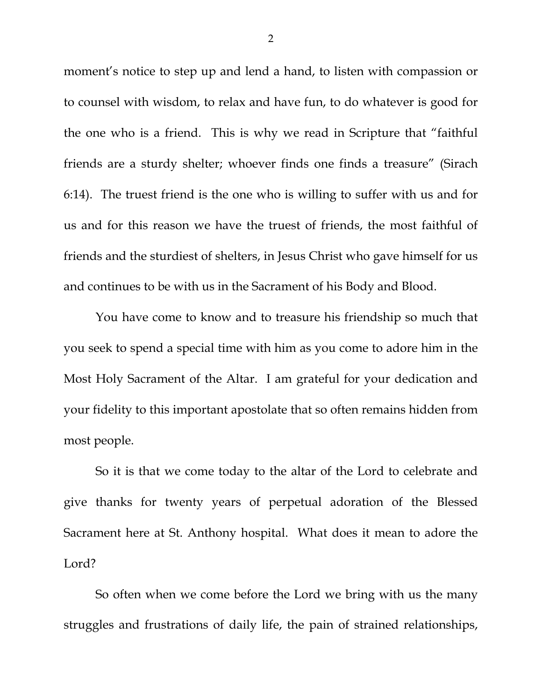moment's notice to step up and lend a hand, to listen with compassion or to counsel with wisdom, to relax and have fun, to do whatever is good for the one who is a friend. This is why we read in Scripture that "faithful friends are a sturdy shelter; whoever finds one finds a treasure" (Sirach 6:14). The truest friend is the one who is willing to suffer with us and for us and for this reason we have the truest of friends, the most faithful of friends and the sturdiest of shelters, in Jesus Christ who gave himself for us and continues to be with us in the Sacrament of his Body and Blood.

You have come to know and to treasure his friendship so much that you seek to spend a special time with him as you come to adore him in the Most Holy Sacrament of the Altar. I am grateful for your dedication and your fidelity to this important apostolate that so often remains hidden from most people.

 So it is that we come today to the altar of the Lord to celebrate and give thanks for twenty years of perpetual adoration of the Blessed Sacrament here at St. Anthony hospital. What does it mean to adore the Lord?

 So often when we come before the Lord we bring with us the many struggles and frustrations of daily life, the pain of strained relationships,

2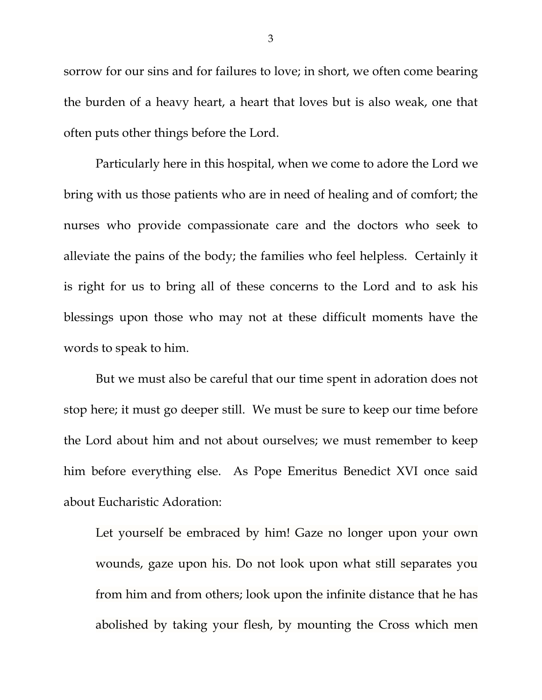sorrow for our sins and for failures to love; in short, we often come bearing the burden of a heavy heart, a heart that loves but is also weak, one that often puts other things before the Lord.

Particularly here in this hospital, when we come to adore the Lord we bring with us those patients who are in need of healing and of comfort; the nurses who provide compassionate care and the doctors who seek to alleviate the pains of the body; the families who feel helpless. Certainly it is right for us to bring all of these concerns to the Lord and to ask his blessings upon those who may not at these difficult moments have the words to speak to him.

 But we must also be careful that our time spent in adoration does not stop here; it must go deeper still. We must be sure to keep our time before the Lord about him and not about ourselves; we must remember to keep him before everything else. As Pope Emeritus Benedict XVI once said about Eucharistic Adoration:

Let yourself be embraced by him! Gaze no longer upon your own wounds, gaze upon his. Do not look upon what still separates you from him and from others; look upon the infinite distance that he has abolished by taking your flesh, by mounting the Cross which men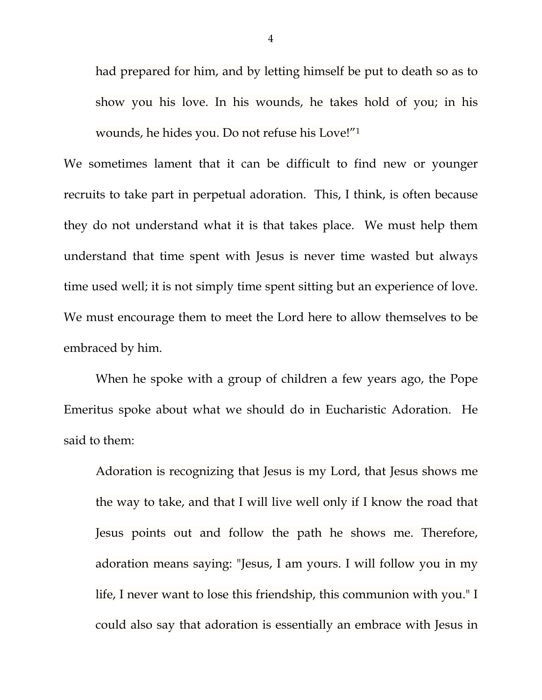had prepared for him, and by letting himself be put to death so as to show you his love. In his wounds, he takes hold of you; in his wounds, he hides you. Do not refuse his Love!"1

We sometimes lament that it can be difficult to find new or younger recruits to take part in perpetual adoration. This, I think, is often because they do not understand what it is that takes place. We must help them understand that time spent with Jesus is never time wasted but always time used well; it is not simply time spent sitting but an experience of love. We must encourage them to meet the Lord here to allow themselves to be embraced by him.

When he spoke with a group of children a few years ago, the Pope Emeritus spoke about what we should do in Eucharistic Adoration. He said to them:

Adoration is recognizing that Jesus is my Lord, that Jesus shows me the way to take, and that I will live well only if I know the road that Jesus points out and follow the path he shows me. Therefore, adoration means saying: "Jesus, I am yours. I will follow you in my life, I never want to lose this friendship, this communion with you." I could also say that adoration is essentially an embrace with Jesus in